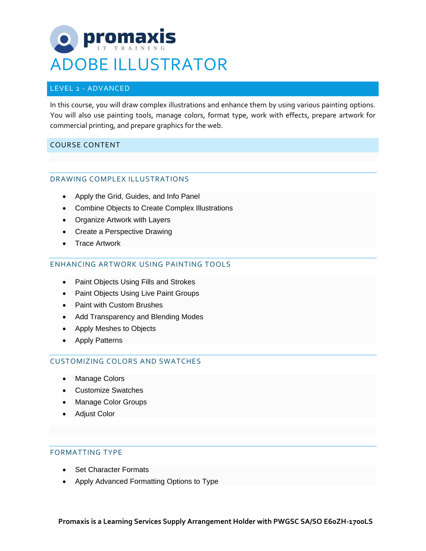# **DE Promaxi** ADOBE ILLUSTRATOR

## LEVEL 2 - ADVANCED

In this course, you will draw complex illustrations and enhance them by using various painting options. You will also use painting tools, manage colors, format type, work with effects, prepare artwork for commercial printing, and prepare graphics for the web.

## COURSE CONTENT

#### DRAWING COMPLEX ILLUSTRATIONS

- Apply the Grid, Guides, and Info Panel
- Combine Objects to Create Complex Illustrations
- Organize Artwork with Layers
- Create a Perspective Drawing
- Trace Artwork

### ENHANCING ARTWORK USING PAINTING TOOLS

- Paint Objects Using Fills and Strokes
- Paint Objects Using Live Paint Groups
- Paint with Custom Brushes
- Add Transparency and Blending Modes
- Apply Meshes to Objects
- Apply Patterns

#### CUSTOMIZING COLORS AND SWATCHES

- Manage Colors
- Customize Swatches
- Manage Color Groups
- Adjust Color

#### FORMATTING TYPE

- Set Character Formats
- Apply Advanced Formatting Options to Type